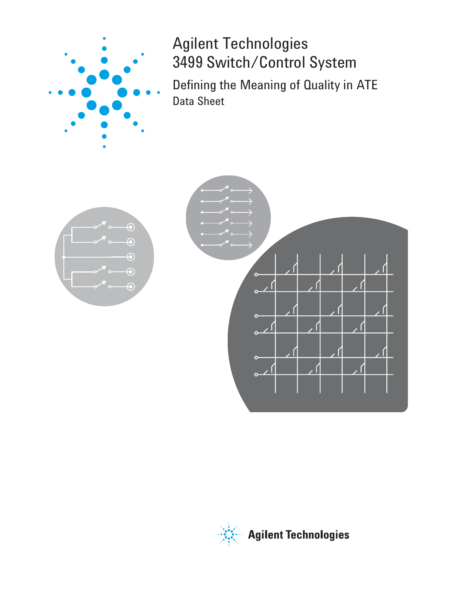

Agilent Technologies 3499 Switch/Control System

Defining the Meaning of Quality in ATE Data Sheet



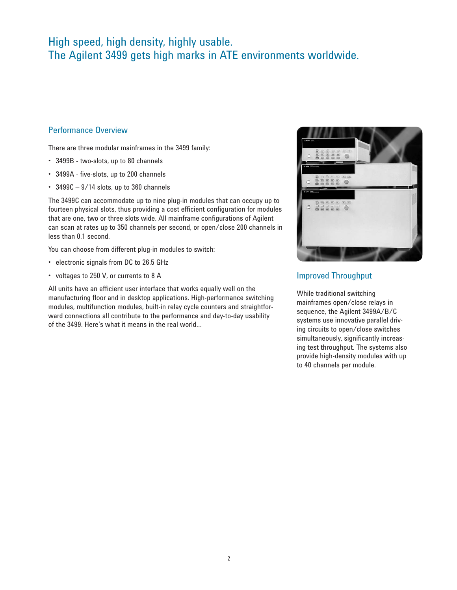# High speed, high density, highly usable. The Agilent 3499 gets high marks in ATE environments worldwide.

# Performance Overview

There are three modular mainframes in the 3499 family:

- 3499B two-slots, up to 80 channels •
- 3499A five-slots, up to 200 channels •
- 3499C 9/14 slots, up to 360 channels •

The 3499C can accommodate up to nine plug-in modules that can occupy up to fourteen physical slots, thus providing a cost efficient configuration for modules that are one, two or three slots wide. All mainframe configurations of Agilent can scan at rates up to 350 channels per second, or open/close 200 channels in less than 0.1 second.

You can choose from different plug-in modules to switch:

- electronic signals from DC to 26.5 GHz
- voltages to 250 V, or currents to 8 A

All units have an efficient user interface that works equally well on the manufacturing floor and in desktop applications. High-performance switching modules, multifunction modules, built-in relay cycle counters and straightforward connections all contribute to the performance and day-to-day usability of the 3499. Here's what it means in the real world…



# Improved Throughput

While traditional switching mainframes open/close relays in sequence, the Agilent 3499A/B/C systems use innovative parallel driving circuits to open/close switches simultaneously, significantly increasing test throughput. The systems also provide high-density modules with up to 40 channels per module.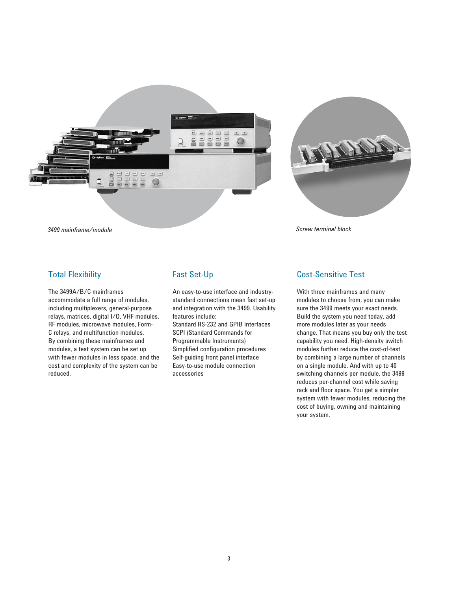



### Total Flexibility

The 3499A/B/C mainframes accommodate a full range of modules, including multiplexers, general-purpose relays, matrices, digital I/O, VHF modules, RF modules, microwave modules, Form-C relays, and multifunction modules. By combining these mainframes and modules, a test system can be set up with fewer modules in less space, and the cost and complexity of the system can be reduced.

# Fast Set-Up

An easy-to-use interface and industrystandard connections mean fast set-up and integration with the 3499. Usability features include:

Standard RS-232 and GPIB interfaces SCPI (Standard Commands for Programmable Instruments) Simplified configuration procedures Self-guiding front panel interface Easy-to-use module connection accessories

# Cost-Sensitive Test

With three mainframes and many modules to choose from, you can make sure the 3499 meets your exact needs. Build the system you need today, add more modules later as your needs change. That means you buy only the test capability you need. High-density switch modules further reduce the cost-of-test by combining a large number of channels on a single module. And with up to 40 switching channels per module, the 3499 reduces per-channel cost while saving rack and floor space. You get a simpler system with fewer modules, reducing the cost of buying, owning and maintaining your system.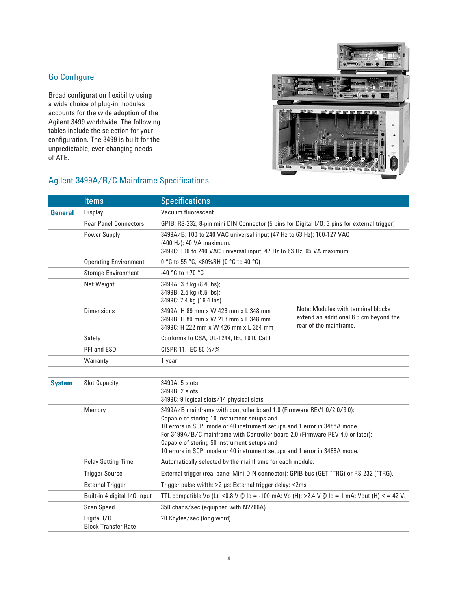# Go Configure

Broad configuration flexibility using a wide choice of plug-in modules accounts for the wide adoption of the Agilent 3499 worldwide. The following tables include the selection for your configuration. The 3499 is built for the unpredictable, ever-changing needs of ATE.



# Agilent 3499A/B/C Mainframe Specifications

|                | <b>Items</b>                              | <b>Specifications</b>                                                                                                                                                                                                                                                                                                                                                                                            |                                                                                                        |  |  |  |
|----------------|-------------------------------------------|------------------------------------------------------------------------------------------------------------------------------------------------------------------------------------------------------------------------------------------------------------------------------------------------------------------------------------------------------------------------------------------------------------------|--------------------------------------------------------------------------------------------------------|--|--|--|
| <b>General</b> | <b>Display</b>                            | Vacuum fluorescent                                                                                                                                                                                                                                                                                                                                                                                               |                                                                                                        |  |  |  |
|                | <b>Rear Panel Connectors</b>              | GPIB; RS-232; 8-pin mini DIN Connector (5 pins for Digital I/O, 3 pins for external trigger)                                                                                                                                                                                                                                                                                                                     |                                                                                                        |  |  |  |
|                | <b>Power Supply</b>                       | 3499A/B: 100 to 240 VAC universal input (47 Hz to 63 Hz); 100-127 VAC<br>(400 Hz); 40 VA maximum.<br>3499C: 100 to 240 VAC universal input; 47 Hz to 63 Hz; 65 VA maximum.                                                                                                                                                                                                                                       |                                                                                                        |  |  |  |
|                | <b>Operating Environment</b>              | 0 °C to 55 °C, <80%RH (0 °C to 40 °C)                                                                                                                                                                                                                                                                                                                                                                            |                                                                                                        |  |  |  |
|                | <b>Storage Environment</b>                | -40 °C to +70 °C                                                                                                                                                                                                                                                                                                                                                                                                 |                                                                                                        |  |  |  |
|                | Net Weight                                | 3499A: 3.8 kg (8.4 lbs);<br>3499B: 2.5 kg (5.5 lbs);<br>3499C: 7.4 kg (16.4 lbs).                                                                                                                                                                                                                                                                                                                                |                                                                                                        |  |  |  |
|                | <b>Dimensions</b>                         | 3499A: H 89 mm x W 426 mm x L 348 mm<br>3499B: H 89 mm x W 213 mm x L 348 mm<br>3499C: H 222 mm x W 426 mm x L 354 mm                                                                                                                                                                                                                                                                                            | Note: Modules with terminal blocks<br>extend an additional 8.5 cm beyond the<br>rear of the mainframe. |  |  |  |
|                | Safety                                    | Conforms to CSA, UL-1244, IEC 1010 Cat I                                                                                                                                                                                                                                                                                                                                                                         |                                                                                                        |  |  |  |
|                | RFI and ESD                               | CISPR 11, IEC 80 1/2/3/4                                                                                                                                                                                                                                                                                                                                                                                         |                                                                                                        |  |  |  |
|                | Warranty                                  | 1 year                                                                                                                                                                                                                                                                                                                                                                                                           |                                                                                                        |  |  |  |
|                |                                           |                                                                                                                                                                                                                                                                                                                                                                                                                  |                                                                                                        |  |  |  |
| <b>System</b>  | <b>Slot Capacity</b>                      | 3499A: 5 slots<br>3499B: 2 slots.<br>3499C: 9 logical slots/14 physical slots                                                                                                                                                                                                                                                                                                                                    |                                                                                                        |  |  |  |
|                | Memory                                    | 3499A/B mainframe with controller board 1.0 (Firmware REV1.0/2.0/3.0):<br>Capable of storing 10 instrument setups and<br>10 errors in SCPI mode or 40 instrument setups and 1 error in 3488A mode.<br>For 3499A/B/C mainframe with Controller board 2.0 (Firmware REV 4.0 or later):<br>Capable of storing 50 instrument setups and<br>10 errors in SCPI mode or 40 instrument setups and 1 error in 3488A mode. |                                                                                                        |  |  |  |
|                | <b>Relay Setting Time</b>                 | Automatically selected by the mainframe for each module.                                                                                                                                                                                                                                                                                                                                                         |                                                                                                        |  |  |  |
|                | <b>Trigger Source</b>                     | External trigger (real panel Mini-DIN connector); GPIB bus (GET,*TRG) or RS-232 (*TRG).                                                                                                                                                                                                                                                                                                                          |                                                                                                        |  |  |  |
|                | <b>External Trigger</b>                   | Trigger pulse width: >2 µs; External trigger delay: <2ms                                                                                                                                                                                                                                                                                                                                                         |                                                                                                        |  |  |  |
|                | Built-in 4 digital I/O Input              | TTL compatible; Vo (L): <0.8 V @ lo = -100 mA; Vo (H): >2.4 V @ lo = 1 mA; Vout (H) < = 42 V.                                                                                                                                                                                                                                                                                                                    |                                                                                                        |  |  |  |
|                | Scan Speed                                | 350 chans/sec (equipped with N2266A)                                                                                                                                                                                                                                                                                                                                                                             |                                                                                                        |  |  |  |
|                | Digital I/O<br><b>Block Transfer Rate</b> | 20 Kbytes/sec (long word)                                                                                                                                                                                                                                                                                                                                                                                        |                                                                                                        |  |  |  |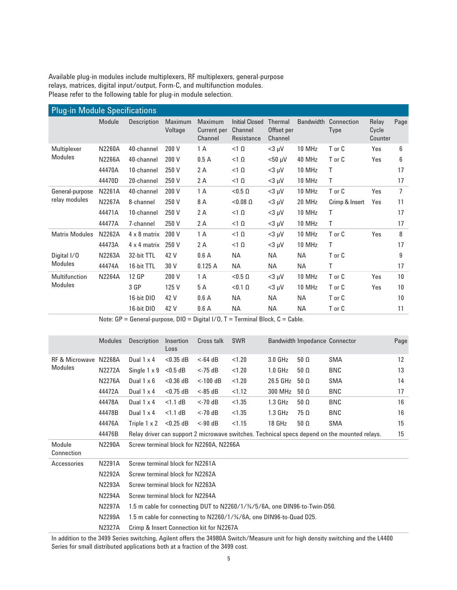Available plug-in modules include multiplexers, RF multiplexers, general-purpose relays, matrices, digital input/output, Form-C, and multifunction modules. Please refer to the following table for plug-in module selection.

| <b>Plug-in Module Specifications</b> |               |                     |                           |                                                 |                                                |                                         |                  |                           |                           |      |
|--------------------------------------|---------------|---------------------|---------------------------|-------------------------------------------------|------------------------------------------------|-----------------------------------------|------------------|---------------------------|---------------------------|------|
|                                      | Module        | Description         | <b>Maximum</b><br>Voltage | <b>Maximum</b><br><b>Current per</b><br>Channel | <b>Initial Closed</b><br>Channel<br>Resistance | <b>Thermal</b><br>Offset per<br>Channel | <b>Bandwidth</b> | Connection<br><b>Type</b> | Relav<br>Cycle<br>Counter | Page |
| Multiplexer                          | <b>N2260A</b> | 40-channel          | 200 V                     | 1 A                                             | $<1$ $\Omega$                                  | $<$ 3 µV                                | 10 MHz           | T or C                    | Yes                       | 6    |
| Modules                              | <b>N2266A</b> | 40-channel          | 200 V                     | 0.5A                                            | $<1$ $\Omega$                                  | $<$ 50 µV                               | 40 MHz           | T or C                    | Yes                       | 6    |
|                                      | 44470A        | 10-channel          | 250 V                     | 2 A                                             | $<1$ $\Omega$                                  | $<$ 3 µV                                | 10 MHz           | Τ                         |                           | 17   |
|                                      | 44470D        | 20-channel          | 250 V                     | 2 A                                             | $<1$ $\Omega$                                  | $<$ 3 µV                                | 10 MHz           | Τ                         |                           | 17   |
| General-purpose                      | N2261A        | 40-channel          | 200 V                     | 1 A                                             | $< 0.5 \Omega$                                 | $<$ 3 µV                                | 10 MHz           | T or C                    | Yes                       | 7    |
| relay modules                        | N2267A        | 8-channel           | 250 V                     | 8 A                                             | $< 0.08$ $\Omega$                              | $<$ 3 µV                                | 20 MHz           | Crimp & Insert            | Yes                       | 11   |
|                                      | 44471A        | 10-channel          | 250 V                     | 2 A                                             | $<1$ $\Omega$                                  | $<$ 3 µV                                | 10 MHz           | Τ                         |                           | 17   |
|                                      | 44477A        | 7-channel           | 250 V                     | 2 A                                             | $<1$ $\Omega$                                  | $<$ 3 µV                                | 10 MHz           | Τ                         |                           | 17   |
| <b>Matrix Modules</b>                | N2262A        | $4 \times 8$ matrix | 200 V                     | 1 A                                             | $<1$ $\Omega$                                  | $<$ 3 µV                                | 10 MHz           | T or C                    | Yes                       | 8    |
|                                      | 44473A        | 4 x 4 matrix        | 250 V                     | 2A                                              | $<1$ $\Omega$                                  | $<$ 3 µV                                | 10 MHz           | Τ                         |                           | 17   |
| Digital I/O                          | N2263A        | 32-bit TTL          | 42 V                      | 0.6A                                            | NА                                             | ΝA                                      | ΝA               | T or C                    |                           | 9    |
| <b>Modules</b>                       | 44474A        | 16-bit TTL          | 30 V                      | 0.125A                                          | <b>NA</b>                                      | NА                                      | ΝA               | Τ                         |                           | 17   |
| Multifunction                        | <b>N2264A</b> | 12 GP               | 200 V                     | 1 A                                             | $< 0.5 \Omega$                                 | $<$ 3 µV                                | 10 MHz           | T or C                    | Yes                       | 10   |
| Modules                              |               | 3 GP                | 125 V                     | 5 A                                             | $< 0.1 \Omega$                                 | $<$ 3 µV                                | 10 MHz           | T or C                    | Yes                       | 10   |
|                                      |               | 16-bit DIO          | 42 V                      | 0.6A                                            | <b>NA</b>                                      | NА                                      | <b>NA</b>        | T or C                    |                           | 10   |
|                                      |               | 16-bit DIO          | 42 V                      | 0.6A                                            | <b>NA</b>                                      | <b>NA</b>                               | <b>NA</b>        | T or C                    |                           | 11   |

Note: GP = General-purpose, DIO = Digital I/O, T = Terminal Block, C = Cable.

|                                         | <b>Modules</b> | <b>Description</b>                                                       | Insertion<br>Loss | Cross talk                               | <b>SWR</b> |                    | <b>Bandwidth Impedance Connector</b> |                                                                                              | Page |
|-----------------------------------------|----------------|--------------------------------------------------------------------------|-------------------|------------------------------------------|------------|--------------------|--------------------------------------|----------------------------------------------------------------------------------------------|------|
| RF & Microwave N2268A<br><b>Modules</b> |                | Dual $1 \times 4$                                                        | $< 0.35$ dB       | $<$ -64 dB                               | < 1.20     | $3.0$ GHz          | $50 \Omega$                          | <b>SMA</b>                                                                                   | 12   |
|                                         | N2272A         | Single $1 \times 9$                                                      | $<$ 0.5 dB        | $<$ -75 dB                               | < 1.20     | 1.0 <sub>GHz</sub> | $50 \Omega$                          | BNC                                                                                          | 13   |
|                                         | N2276A         | Dual $1 \times 6$                                                        | $<$ 0.36 dB       | $<$ -100 dB                              | < 1.20     | 26.5 GHz           | $50\ \Omega$                         | SMA                                                                                          | 14   |
|                                         | 44472A         | Dual $1 \times 4$                                                        | $<$ 0.75 dB       | $< 85 \text{ dB}$                        | < 1.12     | 300 MHz            | $50 \Omega$                          | <b>BNC</b>                                                                                   | 17   |
|                                         | 44478A         | Dual $1 \times 4$                                                        | $<1.1$ dB         | $<$ -70 dB                               | < 1.35     | $1.3$ GHz          | $50\ \Omega$                         | <b>BNC</b>                                                                                   | 16   |
|                                         | 44478B         | Dual $1 \times 4$                                                        | $<1.1$ dB         | $<$ -70 dB                               | < 1.35     | $1.3$ GHz          | $75 \Omega$                          | <b>BNC</b>                                                                                   | 16   |
|                                         | 44476A         | Triple 1 x 2                                                             | $<$ 0.25 dB       | $< 90 \text{ dB}$                        | < 1.15     | 18 GHz             | $50 \Omega$                          | SMA                                                                                          | 15   |
|                                         | 44476B         |                                                                          |                   |                                          |            |                    |                                      | Relay driver can support 2 microwave switches. Technical specs depend on the mounted relays. | 15   |
| Module<br>Connection                    | N2290A         | Screw terminal block for N2260A, N2266A                                  |                   |                                          |            |                    |                                      |                                                                                              |      |
| Accessories                             | N2291A         | Screw terminal block for N2261A                                          |                   |                                          |            |                    |                                      |                                                                                              |      |
|                                         | N2292A         | Screw terminal block for N2262A                                          |                   |                                          |            |                    |                                      |                                                                                              |      |
|                                         | N2293A         | Screw terminal block for N2263A                                          |                   |                                          |            |                    |                                      |                                                                                              |      |
|                                         | <b>N2294A</b>  | Screw terminal block for N2264A                                          |                   |                                          |            |                    |                                      |                                                                                              |      |
|                                         | N2297A         | 1.5 m cable for connecting DUT to N2260/1/3/5/6A, one DIN96-to-Twin-D50. |                   |                                          |            |                    |                                      |                                                                                              |      |
|                                         | N2299A         | 1.5 m cable for connecting to N2260/1/3/6A, one DIN96-to-Quad D25.       |                   |                                          |            |                    |                                      |                                                                                              |      |
|                                         | N2327A         |                                                                          |                   | Crimp & Insert Connection kit for N2267A |            |                    |                                      |                                                                                              |      |

In addition to the 3499 Series switching, Agilent offers the 34980A Switch/Measure unit for high density switching and the L4400 Series for small distributed applications both at a fraction of the 3499 cost.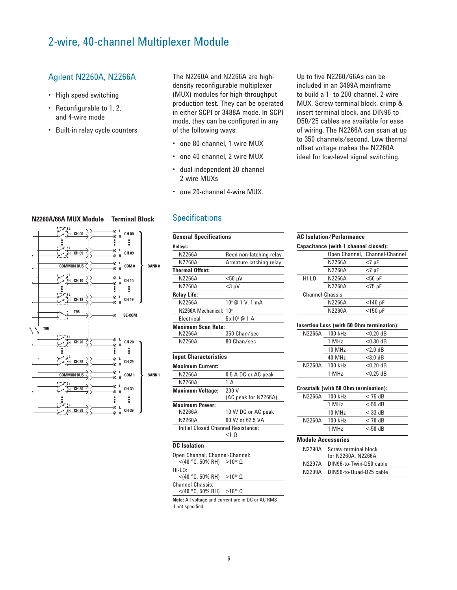# 2-wire, 40-channel Multiplexer Module

# Agilent N2260A, N2266A

- High speed switching
- Reconfigurable to 1, 2, and 4-wire mode
- Built-in relay cycle counters

The N2260A and N2266A are highdensity reconfigurable multiplexer (MUX) modules for high-throughput production test. They can be operated in either SCPI or 3488A mode. In SCPI mode, they can be configured in any of the following ways:

- one 80-channel, 1-wire MUX
- one 40-channel, 2-wire MUX
- dual independent 20-channel 2-wire MUXs
- one 20-channel 4-wire MUX.

Up to five N2260/66As can be included in an 3499A mainframe to build a 1- to 200-channel, 2-wire MUX. Screw terminal block, crimp & insert terminal block, and DIN96-to-D50/25 cables are available for ease of wiring. The N2266A can scan at up to 350 channels/second. Low thermal offset voltage makes the N2260A ideal for low-level signal switching.

|                           | Capacitance (with 1 channel closed):        |                               |
|---------------------------|---------------------------------------------|-------------------------------|
|                           |                                             | Open Channel, Channel-Channel |
|                           | N2266A                                      | $<7$ pF                       |
|                           | N2260A                                      | $<7$ pF                       |
| HI-LO                     | N2266A                                      | $< 50$ pF                     |
|                           | N2260A                                      | $<$ 75 pF                     |
| Channel-Chassis           |                                             |                               |
|                           | N2266A                                      | $<$ 140 pF                    |
|                           | N2260A                                      | $<$ 150 pF                    |
|                           |                                             |                               |
|                           | Insertion Loss (with 50 Ohm termination):   |                               |
| N2266A                    | 100 kHz                                     | $< 0.20$ dB                   |
|                           | 1 MHz                                       | $< 0.30$ dB                   |
|                           | 10 MHz                                      | $< 2.0$ dB                    |
|                           | 40 MHz                                      | $<$ 3.0 dB                    |
| N2260A                    | 100 kHz                                     | $< 0.20$ dB                   |
|                           | 1 MHz                                       | $< 0.25$ dB                   |
|                           |                                             |                               |
|                           | <b>Crosstalk (with 50 Ohm termination):</b> |                               |
| N2266A                    | 100 kHz                                     | $<$ -75 $dB$                  |
|                           | 1 MHz                                       | $<$ -55 dB                    |
|                           | 10 MHz                                      | $<$ -33 dB                    |
| N2260A                    | 100 kHz                                     | $<$ -70 $dB$                  |
|                           | 1 MHz                                       | $<$ -50 dB                    |
|                           |                                             |                               |
| <b>Module Accessories</b> |                                             |                               |
| N2290A                    | Screw terminal block<br>for N2260A, N2266A  |                               |
| N2297A                    | DIN96-to-Twin-D50 cable                     |                               |

#### **L N2260A/66A MUX Module Terminal Block**



# **Specifications**

**General Specifications**

| Relays:                                            |                             |
|----------------------------------------------------|-----------------------------|
| N2266A                                             | Reed non-latching relay     |
| N2260A                                             | Armature latching relay     |
| <b>Thermal Offset:</b>                             |                             |
| N2266A                                             | $<$ 50 µV                   |
| N2260A                                             | $<$ 3 µ $V$                 |
| <b>Relay Life:</b>                                 |                             |
| N2266A                                             | 10 <sup>9</sup> @ 1 V, 1 mA |
| N2260A Mechanical:                                 | 10 <sup>8</sup>             |
| Flectrical:                                        | $5 \times 10^5$ @ 1 A       |
| <b>Maximum Scan Rate:</b>                          |                             |
| N2266A                                             | 350 Chan/sec                |
| N2260A                                             | 80 Chan/sec                 |
| <b>Input Characteristics</b>                       |                             |
|                                                    |                             |
| <b>Maximum Current:</b>                            |                             |
| N2266A                                             | 0.5 A DC or AC peak         |
| N2260A                                             | 1A                          |
| <b>Maximum Voltage:</b>                            | 200 V                       |
|                                                    | (AC peak for N2266A)        |
| <b>Maximum Power:</b>                              |                             |
| N2266A                                             | 10 W DC or AC peak          |
| N2260A                                             | 60 W or 62.5 VA             |
| Initial Closed Channel Resistance:                 |                             |
|                                                    | <1 0                        |
| <b>DC</b> Isolation                                |                             |
| Open Channel, Channel-Channel:<br><(40 °C, 50% RH) | $>10^{10}$ $\Omega$         |
| $HI-I O2$                                          |                             |
| $<$ (40 °C, 50% RH)                                | $>10^{10}$ $\Omega$         |
| Channel-Chassis:<br>$<$ (40 °C, 50% RH)            | $>10^{10}$ $\Omega$         |
| المحاجب ومصطاحين فالفر                             | $\sim$ in DC $\sim$ AC DMC  |

**Note:** All voltage and current are in DC or AC RMS if not specified.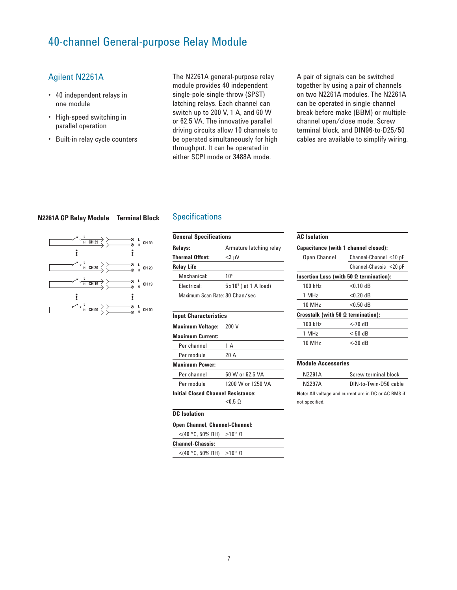# 40-channel General-purpose Relay Module

# Agilent N2261A

- 40 independent relays in one module
- High-speed switching in parallel operation
- Built-in relay cycle counters

The N2261A general-purpose relay module provides 40 independent single-pole-single-throw (SPST) latching relays. Each channel can switch up to 200 V, 1 A, and 60 W or 62.5 VA. The innovative parallel driving circuits allow 10 channels to be operated simultaneously for high throughput. It can be operated in either SCPI mode or 3488A mode.

A pair of signals can be switched together by using a pair of channels on two N2261A modules. The N2261A can be operated in single-channel break-before-make (BBM) or multiplechannel open/close mode. Screw terminal block, and DIN96-to-D25/50 cables are available to simplify wiring.

#### **N2261A GP Relay Module Terminal Block**



#### **Specifications**

| <b>General Specifications</b>  |                                  |  |  |
|--------------------------------|----------------------------------|--|--|
| Relays:                        | Armature latching relay          |  |  |
| <b>Thermal Offset:</b>         | $<$ 3 µV                         |  |  |
| <b>Relay Life</b>              |                                  |  |  |
| Mechanical:                    | 10 <sup>s</sup>                  |  |  |
| Flectrical:                    | $5 \times 10^{5}$ ( at 1 A load) |  |  |
| Maximum Scan Rate: 80 Chan/sec |                                  |  |  |

#### **Input Characteristics**

| <b>Maximum Voltage:</b>                   | 200 V             |
|-------------------------------------------|-------------------|
| <b>Maximum Current:</b>                   |                   |
| Per channel                               | 1 A               |
| Per module                                | 20 A              |
| Maximum Power:                            |                   |
| Per channel                               | 60 W or 62.5 VA   |
| Per module                                | 1200 W or 1250 VA |
| <b>Initial Closed Channel Resistance:</b> |                   |
|                                           | < 0.50            |
| <b>DC</b> Isolation                       |                   |
| Open Channel, Channel-Channel:            |                   |
| $<$ (40 °C, 50% RH) >10 <sup>10</sup> Ω   |                   |

# **Channel-Chassis:**

| UNUNNU-UNUJJIJ. |  |
|-----------------|--|
|                 |  |

 $<$ (40 °C, 50% RH) >10<sup>10</sup> Ω

| <b>AC</b> Isolation                            |                        |  |  |  |
|------------------------------------------------|------------------------|--|--|--|
| Capacitance (with 1 channel closed):           |                        |  |  |  |
| Open Channel                                   | Channel-Channel <10 pF |  |  |  |
|                                                | Channel-Chassis <20 pF |  |  |  |
| Insertion Loss (with 50 $\Omega$ termination): |                        |  |  |  |
| 100 kHz                                        | $< 0.10$ dB            |  |  |  |
| 1 MHz                                          | $< 0.20$ dB            |  |  |  |
| 10 MHz                                         | $< 0.50$ dB            |  |  |  |
| Crosstalk (with 50 $\Omega$ termination):      |                        |  |  |  |
| 100 kHz                                        | $<$ -70 dB             |  |  |  |
| 1 MHz                                          | $<$ -50 dB             |  |  |  |
| 10 MHz                                         | <-30 dB                |  |  |  |
|                                                |                        |  |  |  |

#### **Module Accessories**

| N2291A         | Screw terminal block                                 |  |  |  |
|----------------|------------------------------------------------------|--|--|--|
| N2297A         | DIN-to-Twin-D50 cable                                |  |  |  |
|                | Note: All voltage and current are in DC or AC RMS if |  |  |  |
| not specified. |                                                      |  |  |  |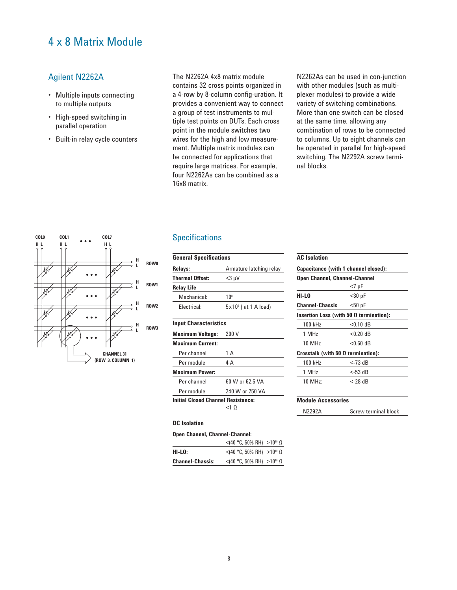# 4 x 8 Matrix Module

# Agilent N2262A

- Multiple inputs connecting to multiple outputs
- High-speed switching in parallel operation
- Built-in relay cycle counters

The N2262A 4x8 matrix module contains 32 cross points organized in a 4-row by 8-column config-uration. It provides a convenient way to connect a group of test instruments to multiple test points on DUTs. Each cross point in the module switches two wires for the high and low measurement. Multiple matrix modules can be connected for applications that require large matrices. For example, four N2262As can be combined as a 16x8 matrix.

N2262As can be used in con-junction with other modules (such as multiplexer modules) to provide a wide variety of switching combinations. More than one switch can be closed at the same time, allowing any combination of rows to be connected to columns. Up to eight channels can be operated in parallel for high-speed switching. The N2292A screw terminal blocks.



# **Specifications**

| <b>General Specifications</b> |                                  |  |
|-------------------------------|----------------------------------|--|
| Relays:                       | Armature latching relay          |  |
| Thermal Offset:               | $<$ 3 µV                         |  |
| Relay Life                    |                                  |  |
| Mechanical:                   | 10 <sup>s</sup>                  |  |
| Flectrical:                   | $5 \times 10^{5}$ ( at 1 A load) |  |
|                               |                                  |  |

### **Input Characteristics**

| <b>Maximum Voltage:</b>                   | 200 V           |
|-------------------------------------------|-----------------|
| <b>Maximum Current:</b>                   |                 |
| Per channel                               | 1 A             |
| Per module                                | 4 A             |
| <b>Maximum Power:</b>                     |                 |
| Per channel                               | 60 W or 62.5 VA |
| Per module                                | 240 W or 250 VA |
| <b>Initial Closed Channel Resistance:</b> |                 |
|                                           |                 |

#### **DC Isolation**

|                         | $<$ (40 °C, 50% RH) >10 <sup>10</sup> Ω |  |
|-------------------------|-----------------------------------------|--|
| HI-LO:                  | $<$ (40 °C, 50% RH) >10 <sup>10</sup> Ω |  |
| <b>Channel-Chassis:</b> | $<$ (40 °C, 50% RH) >10 <sup>10</sup> Ω |  |

#### **AC Isolation**

| Capacitance (with 1 channel closed):      |                                                |  |  |
|-------------------------------------------|------------------------------------------------|--|--|
| <b>Open Channel, Channel-Channel</b>      |                                                |  |  |
|                                           | $<7$ pF                                        |  |  |
| HI-LO                                     | $30 pF$                                        |  |  |
| Channel-Chassis                           | $<$ 50 pF                                      |  |  |
|                                           | Insertion Loss (with 50 $\Omega$ termination): |  |  |
| 100 kHz                                   | $< 0.10$ dB                                    |  |  |
| 1 MHz                                     | $< 0.20$ dB                                    |  |  |
| 10 MHz                                    | $< 0.60$ dB                                    |  |  |
| Crosstalk (with 50 $\Omega$ termination): |                                                |  |  |
| 100 kHz                                   | $<$ -73 dB                                     |  |  |
| 1 MHz                                     | $<$ -53 dB                                     |  |  |
| 10 MHz:                                   | <-28 dB                                        |  |  |
|                                           |                                                |  |  |

# **Module Accessories** N2292A Screw terminal block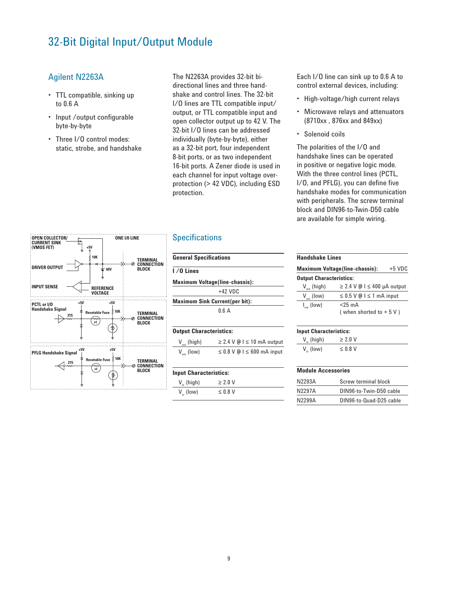# 32-Bit Digital Input/Output Module

**ONE I/0 LINE**

### Agilent N2263A

- TTL compatible, sinking up to 0.6 A
- Input /output configurable byte-by-byte
- Three I/O control modes: static, strobe, and handshake

The N2263A provides 32-bit bidirectional lines and three handshake and control lines. The 32-bit I/O lines are TTL compatible input/ output, or TTL compatible input and open collector output up to 42 V. The 32-bit I/O lines can be addressed individually (byte-by-byte), either as a 32-bit port, four independent 8-bit ports, or as two independent 16-bit ports. A Zener diode is used in each channel for input voltage overprotection (> 42 VDC), including ESD protection.

# **Specifications**

| <b>OPEN COLLECTOR/</b><br><b>CURRENT SINK</b><br>(VMOS FET)<br>$+5V$                                                                  | ONE I/O LINE                                              |
|---------------------------------------------------------------------------------------------------------------------------------------|-----------------------------------------------------------|
| <b>10K</b><br><b>DRIVER OUTPUT</b><br>60V                                                                                             | TERMINAL<br><b>CONNECTION</b><br><b>BLOCK</b>             |
| <b>INPUT SENSE</b><br><b>REFERENCE</b><br><b>VOLTAGE</b>                                                                              |                                                           |
| $+5V$<br>$+5V$<br>PCTL or I/O<br><b>Handshake Signal</b><br>≶ 10K<br><b>Resetable Fuse</b><br>215<br>+t                               | <b>TERMINAL</b><br><b>CONNECTION</b><br>⊘<br><b>BLOCK</b> |
| $+5V$<br>+5V<br><b>PFLG Handshake Signal</b><br>$\stackrel{\scriptstyle <}{\scriptstyle <}$ 10K<br><b>Resetable Fuse</b><br>215<br>+t | <b>TERMINAL</b><br><b>CONNECTION</b><br>Ø<br><b>BLOCK</b> |

| <b>General Specifications</b>         |  |
|---------------------------------------|--|
| I / O Lines                           |  |
| <b>Maximum Voltage(line-chassis):</b> |  |
| $+42$ VDC                             |  |
| <b>Maximum Sink Current(per bit):</b> |  |
| 0.6A                                  |  |
|                                       |  |

#### **Output Characteristics:**

| $V_{\text{out}}$ (high) | $\geq$ 2.4 V @ I $\leq$ 10 mA output |
|-------------------------|--------------------------------------|
| $V_{\text{out}}$ (low)  | $\leq$ 0.8 V @ I $\leq$ 600 mA input |

#### **Input Characteristics:**

| $V_{n}$ (high) | $\geq 2.0$ V |  |
|----------------|--------------|--|
| $V_{in}$ (low) | $\leq$ 0.8 V |  |

Each I/O line can sink up to 0.6 A to control external devices, including:

- High-voltage/high current relays
- Microwave relays and attenuators (8710xx , 876xx and 849xx)
- Solenoid coils

The polarities of the I/O and handshake lines can be operated in positive or negative logic mode. With the three control lines (PCTL, I/O, and PFLG), you can define five handshake modes for communication with peripherals. The screw terminal block and DIN96-to-Twin-D50 cable are available for simple wiring.

#### **Handshake Lines**

| <b>Maximum Voltage(line-chassis):</b> |                                       | $+5$ VDC |
|---------------------------------------|---------------------------------------|----------|
| <b>Output Characteristics:</b>        |                                       |          |
| $V_{\text{out}}$ (high)               | $\geq$ 2.4 V @ I $\leq$ 400 µA output |          |
| $V_{\text{out}}$ (low)                | $\leq$ 0.5 V @ I $\leq$ 1 mA input    |          |
| $I_{\text{out}}$ (low)                | $<$ 25 mA<br>(when shorted to $+5V$ ) |          |

#### **Input Characteristics:**

| $V_{in}$ (high) | $\geq 2.0$ V |
|-----------------|--------------|
| $V_{in}$ (low)  | $\leq$ 0.8 V |

#### **Module Accessories**

| N2293A | Screw terminal block    |
|--------|-------------------------|
| N2297A | DIN96-to-Twin-D50 cable |
| N2299A | DIN96-to-Quad-D25 cable |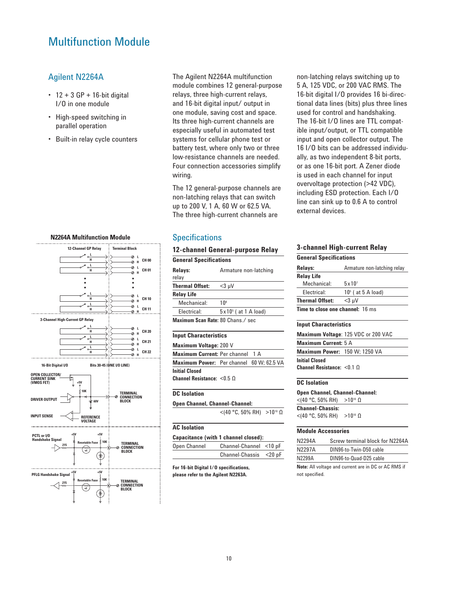# Multifunction Module

### Agilent N2264A

- 12 + 3 GP + 16-bit digital I/O in one module
- High-speed switching in parallel operation
- Built-in relay cycle counters



The Agilent N2264A multifunction module combines 12 general-purpose relays, three high-current relays, and 16-bit digital input/ output in one module, saving cost and space. Its three high-current channels are especially useful in automated test systems for cellular phone test or battery test, where only two or three low-resistance channels are needed. Four connection accessories simplify wiring.

The 12 general-purpose channels are non-latching relays that can switch up to 200 V, 1 A, 60 W or 62.5 VA. The three high-current channels are

### **Specifications**

| 12-channel General-purpose Relay     |                                |  |
|--------------------------------------|--------------------------------|--|
| <b>General Specifications</b>        |                                |  |
| <b>Relays:</b><br>relay              | Armature non-latching          |  |
| Thermal Offset:                      | <3 µV                          |  |
| <b>Relay Life</b>                    |                                |  |
| Mechanical:                          | 10 <sup>8</sup>                |  |
| Electrical:                          | $5\times10^{5}$ ( at 1 A load) |  |
| Maximum Scan Rate: 80 Chans./ sec    |                                |  |
| <b>Input Characteristics</b>         |                                |  |
| <b>Maximum Voltage: 200 V</b>        |                                |  |
| <b>Maximum Current: Per channel</b>  | 1 A                            |  |
| <b>Maximum Power:</b> Per channel    | 60 W: 62.5 VA                  |  |
| Initial Closed                       |                                |  |
| Channel Resistance: $< 0.5$ $\Omega$ |                                |  |
| DC Isolation                         |                                |  |

# **Open Channel, Channel-Channel:**

 $<$ (40 °C, 50% RH) >10<sup>10</sup> Ω

#### **AC Isolation**

| Capacitance (with 1 channel closed): |                        |  |
|--------------------------------------|------------------------|--|
| Open Channel                         | Channel-Channel <10 pF |  |
|                                      | Channel-Chassis <20 pF |  |

**For 16-bit Digital I/O specifications, please refer to the Agilent N2263A.** 

non-latching relays switching up to 5 A, 125 VDC, or 200 VAC RMS. The 16-bit digital I/O provides 16 bi-directional data lines (bits) plus three lines used for control and handshaking. The 16-bit I/O lines are TTL compatible input/output, or TTL compatible input and open collector output. The 16 I/O bits can be addressed individually, as two independent 8-bit ports, or as one 16-bit port. A Zener diode is used in each channel for input overvoltage protection (>42 VDC), including ESD protection. Each I/O line can sink up to 0.6 A to control external devices.

# **3-channel High-current Relay**

| <b>General Specifications</b>           |                      |  |
|-----------------------------------------|----------------------|--|
| Relays:<br>Armature non-latching relay  |                      |  |
| <b>Relay Life</b>                       |                      |  |
| Mechanical:                             | $5 \times 10^7$      |  |
| Flectrical:                             | $105$ ( at 5 A load) |  |
| <b>Thermal Offset:</b>                  | $<$ 3 µV             |  |
| <b>Time to close one channel: 16 ms</b> |                      |  |

#### **Input Characteristics**

|                                    | Maximum Voltage: 125 VDC or 200 VAC |
|------------------------------------|-------------------------------------|
| <b>Maximum Current:</b> 5 A        |                                     |
| Maximum Power: 150 W; 1250 VA      |                                     |
| <b>Initial Closed</b>              |                                     |
| Channel Resistance: $< 0.1 \Omega$ |                                     |

#### **DC Isolation**

| <b>Open Channel, Channel-Channel:</b>   |  |  |  |
|-----------------------------------------|--|--|--|
| $<$ (40 °C, 50% RH) >10 <sup>10</sup> Ω |  |  |  |
| <b>Channel-Chassis:</b>                 |  |  |  |
| $<$ (40 °C, 50% RH) >10 <sup>10</sup> Ω |  |  |  |

#### **Module Accessories**

| N2294A                                               | Screw terminal block for N2264A |  |
|------------------------------------------------------|---------------------------------|--|
| N2297A                                               | DIN96-to-Twin-D50 cable         |  |
| N2299A                                               | DIN96-to-Quad-D25 cable         |  |
| Note: All voltage and current are in DC or AC RMS if |                                 |  |

not specified.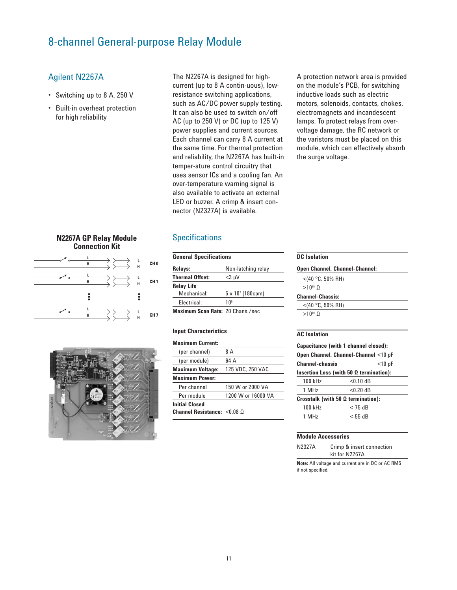# 8-channel General-purpose Relay Module

# Agilent N2267A

- Switching up to 8 A, 250 V
- Built-in overheat protection for high reliability

The N2267A is designed for highcurrent (up to 8 A contin-uous), lowresistance switching applications, such as AC/DC power supply testing. It can also be used to switch on/off AC (up to 250 V) or DC (up to 125 V) power supplies and current sources. Each channel can carry 8 A current at the same time. For thermal protection and reliability, the N2267A has built-in temper-ature control circuitry that uses sensor ICs and a cooling fan. An over-temperature warning signal is also available to activate an external LED or buzzer. A crimp & insert connector (N2327A) is available.

A protection network area is provided on the module's PCB, for switching inductive loads such as electric motors, solenoids, contacts, chokes, electromagnets and incandescent lamps. To protect relays from overvoltage damage, the RC network or the varistors must be placed on this module, which can effectively absorb the surge voltage.

#### **N2267A GP Relay Module Connection Kit**





# **Specifications**

| <b>General Specifications</b>    |                            |  |
|----------------------------------|----------------------------|--|
| Relays:                          | Non-latching relay         |  |
| <b>Thermal Offset:</b>           | $<$ 3 µV                   |  |
| <b>Relay Life</b>                |                            |  |
| Mechanical:                      | $5 \times 10^{7}$ (180cpm) |  |
| Flectrical:                      | 1 በ፣                       |  |
| Maximum Scan Rate: 20 Chans./sec |                            |  |

#### **Input Characteristics**

| <b>Maximum Current:</b>                  |                    |
|------------------------------------------|--------------------|
| (per channel)                            | 8 A                |
| (per module)                             | 64 A               |
| <b>Maximum Voltage:</b>                  | 125 VDC, 250 VAC   |
| <b>Maximum Power:</b>                    |                    |
| Per channel                              | 150 W or 2000 VA   |
| Per module                               | 1200 W or 16000 VA |
| <b>Initial Closed</b>                    |                    |
| <b>Channel Resistance:</b> $\leq 0.08$ O |                    |

### **DC Isolation Open Channel, Channel-Channel:**  $<$ (40 °C, 50% RH)  $>10^{10}$  Ω

**Channel-Chassis:** <(40 °C, 50% RH)  $>10^{10}$  Ω

#### **AC Isolation**

**Capacitance (with 1 channel closed):**

| Open Channel, Channel-Channel <10 pF           |             |  |
|------------------------------------------------|-------------|--|
| <b>Channel-chassis</b><br>$<$ 10 pF            |             |  |
| Insertion Loss (with 50 $\Omega$ termination): |             |  |
| 100 kHz                                        | $< 0.10$ dB |  |
| 1 MH <sub>z</sub>                              | $< 0.20$ dB |  |
| Crosstalk (with 50 $\Omega$ termination):      |             |  |
| 100 kHz                                        | $<$ -75 dB  |  |
| 1 MH <sub>z</sub>                              | $<$ -55 dB  |  |

#### **Module Accessories**

| N2327A | Crimp & insert connection |
|--------|---------------------------|
|        | kit for N2267A            |

**Note:** All voltage and current are in DC or AC RMS if not specified.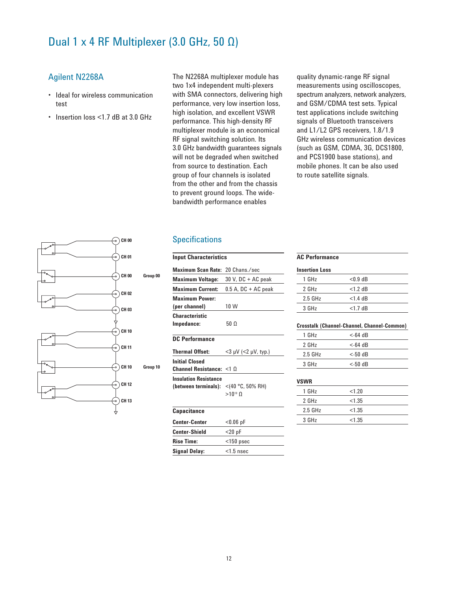# Dual 1 x 4 RF Multiplexer (3.0 GHz, 50 Ω)

# Agilent N2268A

- Ideal for wireless communication test
- Insertion loss <1.7 dB at 3.0 GHz

The N2268A multiplexer module has two 1x4 independent multi-plexers with SMA connectors, delivering high performance, very low insertion loss, high isolation, and excellent VSWR performance. This high-density RF multiplexer module is an economical RF signal switching solution. Its 3.0 GHz bandwidth guarantees signals will not be degraded when switched from source to destination. Each group of four channels is isolated from the other and from the chassis to prevent ground loops. The widebandwidth performance enables

quality dynamic-range RF signal measurements using oscilloscopes, spectrum analyzers, network analyzers, and GSM/CDMA test sets. Typical test applications include switching signals of Bluetooth transceivers and L1/L2 GPS receivers, 1.8/1.9 GHz wireless communication devices (such as GSM, CDMA, 3G, DCS1800, and PCS1900 base stations), and mobile phones. It can be also used to route satellite signals.



### **Specifications**

| <b>Input Characteristics</b>             |                            |  |  |
|------------------------------------------|----------------------------|--|--|
| <b>Maximum Scan Rate:</b>                | 20 Chans./sec              |  |  |
| <b>Maximum Voltage:</b>                  | 30 V, DC + AC peak         |  |  |
| <b>Maximum Current:</b>                  | $0.5$ A, DC + AC peak      |  |  |
| <b>Maximum Power:</b>                    |                            |  |  |
| (per channel)                            | 10 W                       |  |  |
| <b>Characteristic</b>                    |                            |  |  |
| Impedance:                               | 50 Ω                       |  |  |
| <b>DC Performance</b>                    |                            |  |  |
| <b>Thermal Offset:</b>                   | $<$ 3 µV ( $<$ 2 µV, typ.) |  |  |
| <b>Initial Closed</b>                    |                            |  |  |
| Channel Resistance: $<$ 1 $\Omega$       |                            |  |  |
| <b>Insulation Resistance</b>             |                            |  |  |
| (between terminals): $<$ (40 °C, 50% RH) |                            |  |  |
|                                          | $>10^{10}$ O               |  |  |
| <b>Capacitance</b>                       |                            |  |  |
| <b>Center-Center</b>                     | $< 0.06$ pF                |  |  |
| <b>Center-Shield</b>                     | $<$ 20 pF                  |  |  |
| <b>Rise Time:</b>                        | $<$ 150 psec               |  |  |
| Signal Delay:                            | $<$ 1.5 nsec               |  |  |
|                                          |                            |  |  |

#### **AC Performance**

| <b>Insertion Loss</b> |            |  |
|-----------------------|------------|--|
| $1$ GHz               | $< 0.9$ dB |  |
| $2$ GHz               | $<1.2$ dB  |  |
| $2.5$ GHz             | $<$ 1.4 dB |  |
| 3 GHz                 | $<$ 1.7 dB |  |
|                       |            |  |

#### **Crosstalk (Channel-Channel, Channel-Common)**

| $1$ GHz   | $<$ -64 dB |  |
|-----------|------------|--|
| $2$ GHz   | $<$ -64 dB |  |
| $2.5$ GHz | $<$ -50 dB |  |
| 3 GHz     | $<$ -50 dB |  |
|           |            |  |

### **VSWR**

| $1$ GHz   | < 1.20 |  |
|-----------|--------|--|
| 2 GHz     | < 1.35 |  |
| $2.5$ GHz | < 1.35 |  |
| 3 GHz     | < 1.35 |  |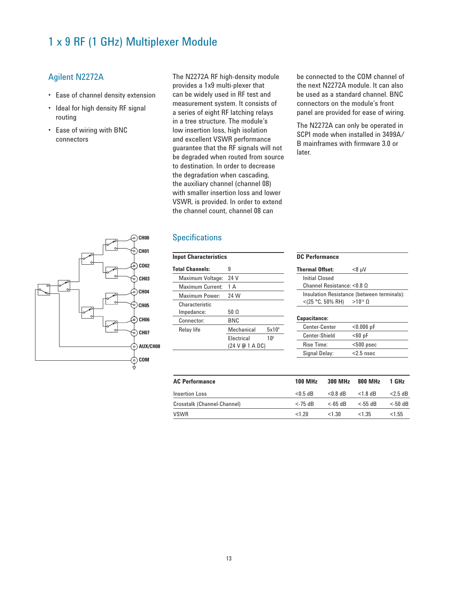# 1 x 9 RF (1 GHz) Multiplexer Module

# Agilent N2272A

- Ease of channel density extension
- Ideal for high density RF signal routing
- Ease of wiring with BNC connectors

The N2272A RF high-density module provides a 1x9 multi-plexer that can be widely used in RF test and measurement system. It consists of a series of eight RF latching relays in a tree structure. The module's low insertion loss, high isolation and excellent VSWR performance guarantee that the RF signals will not be degraded when routed from source to destination. In order to decrease the degradation when cascading, the auxiliary channel (channel 08) with smaller insertion loss and lower VSWR, is provided. In order to extend the channel count, channel 08 can

### **Specifications**

| 5x10 <sup>6</sup>                                  |
|----------------------------------------------------|
| 10 <sup>5</sup>                                    |
|                                                    |
| Mechanical<br><b>Flectrical</b><br>(24 V @ 1 A DC) |

be connected to the COM channel of the next N2272A module. It can also be used as a standard channel. BNC connectors on the module's front panel are provided for ease of wiring.

The N2272A can only be operated in SCPI mode when installed in 3499A/ B mainframes with firmware 3.0 or later.



| <b>AC Performance</b>       | <b>100 MHz</b> | 300 MHz    | 800 MHz    | 1 GHz      |
|-----------------------------|----------------|------------|------------|------------|
| Insertion Loss              | $< 0.5$ dB     | $< 0.8$ dB | $<$ 1.8 dB | $<$ 2.5 dB |
| Crosstalk (Channel-Channel) | <-75 dB        | $<$ -65 dB | $<$ -55 dB | $<$ -50 dB |
| <b>VSWR</b>                 | < 1.20         | <1.30      | $<$ 1.35   | < 1.55     |

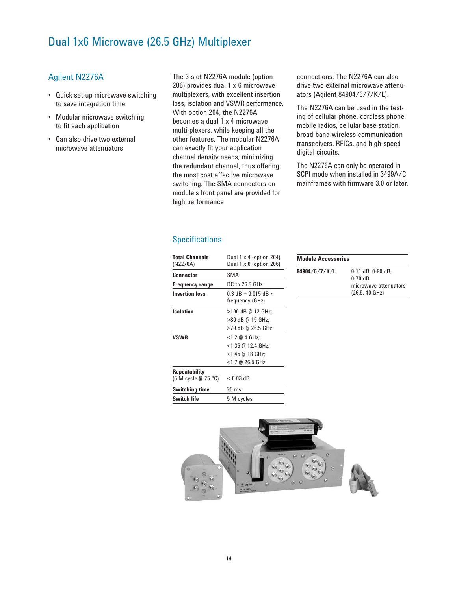# Dual 1x6 Microwave (26.5 GHz) Multiplexer

# Agilent N2276A

- Quick set-up microwave switching to save integration time
- Modular microwave switching to fit each application
- Can also drive two external microwave attenuators

The 3-slot N2276A module (option 206) provides dual 1 x 6 microwave multiplexers, with excellent insertion loss, isolation and VSWR performance. With option 204, the N2276A becomes a dual 1 x 4 microwave multi-plexers, while keeping all the other features. The modular N2276A can exactly fit your application channel density needs, minimizing the redundant channel, thus offering the most cost effective microwave switching. The SMA connectors on module's front panel are provided for high performance

**Specifications** 

| <b>Total Channels</b><br>(N2276A) | Dual $1 \times 4$ (option 204)<br>Dual $1 \times 6$ (option 206) |
|-----------------------------------|------------------------------------------------------------------|
| Connector                         | SMA                                                              |
| <b>Frequency range</b>            | DC to 26.5 GHz                                                   |
| <b>Insertion loss</b>             | $0.3$ dB + 0.015 dB $*$<br>frequency (GHz)                       |
| Isolation                         | >100 dB @ 12 GHz;                                                |
|                                   | >80 dB @ 15 GHz:                                                 |
|                                   | >70 dB @ 26.5 GHz                                                |
| <b>VSWR</b>                       | <1.2 @ 4 GHz;                                                    |
|                                   | $<$ 1.35 @ 12.4 GHz:                                             |
|                                   | <1.45 @ 18 GHz:                                                  |
|                                   | <1.7 @ 26.5 GHz                                                  |
| Repeatability                     |                                                                  |
| (5 M cycle @ 25 °C)               | $< 0.03$ dB                                                      |
| Switching time                    | 25 <sub>ms</sub>                                                 |
| Switch life                       | 5 M cycles                                                       |

**Module Accessories 84904/6/7/K/L** 0-11 dB, 0-90 dB, 0-70 dB microwave attenuators (26.5, 40 GHz)



connections. The N2276A can also drive two external microwave attenuators (Agilent 84904/6/7/K/L).

The N2276A can be used in the testing of cellular phone, cordless phone, mobile radios, cellular base station, broad-band wireless communication transceivers, RFICs, and high-speed digital circuits.

The N2276A can only be operated in SCPI mode when installed in 3499A/C mainframes with firmware 3.0 or later.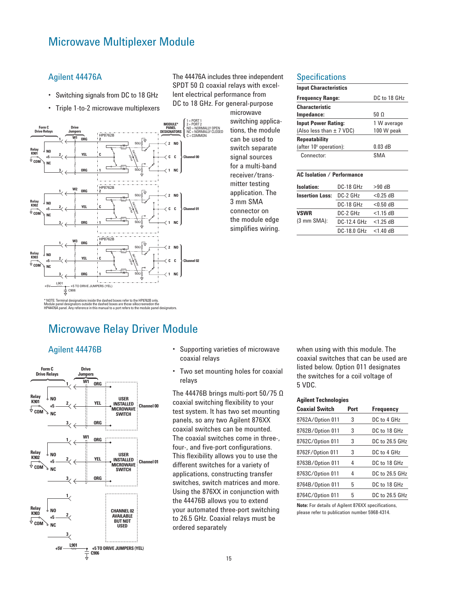# Microwave Multiplexer Module

### Agilent 44476A

- Switching signals from DC to 18 GHz
- Triple 1-to-2 microwave multiplexers



The 44476A includes three independent SPDT 50 Ω coaxial relays with excellent electrical performance from DC to 18 GHz. For general-purpose

> microwave switching applications, the module can be used to switch separate signal sources for a multi-band receiver/transmitter testing application. The 3 mm SMA connector on the module edge simplifies wiring.

#### **Specifications**

| <b>Input Characteristics</b>               |              |
|--------------------------------------------|--------------|
| <b>Frequency Range:</b>                    | DC to 18 GHz |
| <b>Characteristic</b>                      |              |
| Impedance:                                 | 50 Q         |
| <b>Input Power Rating:</b>                 | 1 W average  |
| 100 W peak<br>(Also less than $\pm$ 7 VDC) |              |
| <b>Repeatability</b>                       |              |
| (after $106$ operation):                   | $0.03$ dB    |
| Connector:                                 | SMA          |

#### **AC Isolation / Performance**

| <b>Isolation:</b>      | DC-18 GHz   | >90 dB      |
|------------------------|-------------|-------------|
| <b>Insertion Loss:</b> | DC-2 GHz    | $< 0.25$ dB |
|                        | DC-18 GHz   | $< 0.50$ dB |
| <b>VSWR</b>            | DC-2 GHz    | $<$ 1.15 dB |
| $(3 \text{ mm}$ SMA):  | DC-12.4 GHz | $<$ 1.25 dB |
|                        | DC-18.0 GHz | $<$ 1.40 dB |

# Microwave Relay Driver Module



- Agilent 44476B Supporting varieties of microwave coaxial relays •
	- Two set mounting holes for coaxial relays •

The 44476B brings multi-port 50/75 Ω coaxial switching flexibility to your test system. It has two set mounting panels, so any two Agilent 876XX coaxial switches can be mounted. The coaxial switches come in three-, four-, and five-port configurations. This flexibility allows you to use the different switches for a variety of applications, constructing transfer switches, switch matrices and more. Using the 876XX in conjunction with the 44476B allows you to extend your automated three-port switching to 26.5 GHz. Coaxial relays must be ordered separately

when using with this module. The coaxial switches that can be used are listed below. Option 011 designates the switches for a coil voltage of 5 VDC.

#### **Agilent Technologies**

| <b>Coaxial Switch</b> | Port | <b>Frequency</b> |
|-----------------------|------|------------------|
| 8762A/Option 011      | 3    | DC to 4 GHz      |
| 8762B/Option 011      | 3    | DC to 18 GHz     |
| 8762C/Option 011      | 3    | DC to 26.5 GHz   |
| 8762F/Option 011      | 3    | DC to 4 GHz      |
| 8763B/Option 011      | 4    | DC to 18 GHz     |
| 8763C/Option 011      | 4    | DC to 26.5 GHz   |
| 8764B/Option 011      | 5    | DC to 18 GHz     |
| 8764C/Option 011      | 5    | DC to 26.5 GHz   |

**Note:** For details of Agilent 876XX specifications, please refer to publication number 5968-4314.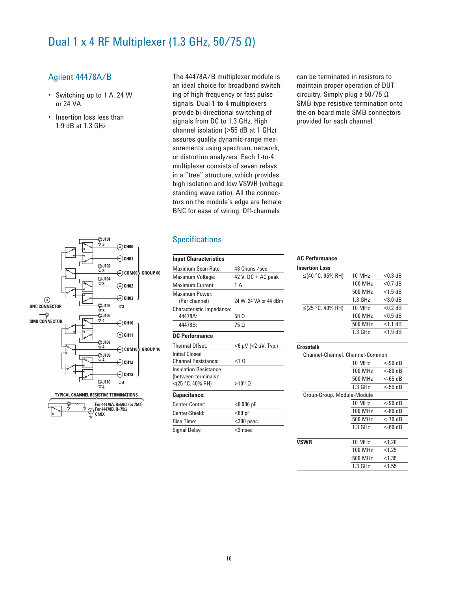# Dual 1 x 4 RF Multiplexer (1.3 GHz,  $50/75$  Ω)

### Agilent 44478A/B

• Switching up to 1 A, 24 W or 24 VA

> **J101 3**

**CH00 CH01**

்) CH02 **CH03 3**

 $\odot$ CH10 ි) CH11

ै) CH12 **CH13 4**

**COM00 GROUP 00**

**COM10 GROUP 10**

**J102 3 J104 3**

**J105**

**J106 4**

**J107 4 J109 4**

**J110 4 TYPICAL CHANNEL RESISTIVE TERMINATIONS**

 $\overline{\cdot}$ 

**For 44478A, R=50**Ω **(or 75**Ω**) For 44478B, R=75**Ω **ChXX**

**BNC CONNECTOR**<br>↓<br>→ 3

**SMB CONNECTOR**

 $\rightarrow$ 

• Insertion loss less than 1.9 dB at 1.3 GHz

The 44478A/B multiplexer module is an ideal choice for broadband switching of high-frequency or fast pulse signals. Dual 1-to-4 multiplexers provide bi-directional switching of signals from DC to 1.3 GHz. High channel isolation (>55 dB at 1 GHz) assures quality dynamic-range measurements using spectrum, network, or distortion analyzers. Each 1-to-4 multiplexer consists of seven relays in a "tree" structure, which provides high isolation and low VSWR (voltage standing wave ratio). All the connectors on the module's edge are female BNC for ease of wiring. Off-channels

# **Specifications**

| <b>Input Characteristics</b>         |                            |
|--------------------------------------|----------------------------|
| Maximum Scan Rate:                   | 43 Chans / sec             |
| Maximum Voltage:                     | 42 V, DC + AC peak         |
| Maximum Current:                     | 1 A                        |
| Maximum Power:<br>(Per channel)      | 24 W, 24 VA or 44 dBm      |
| Characteristic Impedance:<br>44478A: | 50 Ω                       |
| 44478B:                              | 75 Ω                       |
| <b>DC</b> Performance                |                            |
| Thermal Offset:                      | $<$ 6 µV ( $<$ 2 µV, Typ.) |
| Initial Closed                       |                            |
| <b>Channel Resistance:</b>           | $<$ 10                     |
|                                      |                            |
| <b>Insulation Resistance</b>         |                            |
| (between terminals):                 |                            |
| <(25 °C, 40% RH)                     | $>10^{10}$ O               |

| Center-Center: | $< 0.006$ pF |
|----------------|--------------|
| Center-Shield: | $60$ pF      |
| Rise Time:     | $<$ 300 psec |
| Signal Delay:  | $<$ 3 nsec   |

can be terminated in resistors to maintain proper operation of DUT circuitry. Simply plug a 50/75 Ω SMB-type resistive termination onto the on-board male SMB connectors provided for each channel.

| АУ І СПУПІВНУС        |           |            |  |
|-----------------------|-----------|------------|--|
| <b>Insertion Loss</b> |           |            |  |
| ≤(40 °C, 95% RH)      | 10 MHz    | $< 0.3$ dB |  |
|                       | 100 MHz   | $<$ 0.7 dB |  |
|                       | 500 MHz   | $<$ 1.5 dB |  |
|                       | $1.3$ GHz | $<$ 3.0 dB |  |
| $≤$ (25 °C, 40% RH)   | 10 MHz    | $<$ 0.2 dB |  |
|                       | 100 MHz   | $<$ 0.5 dB |  |
|                       | 500 MHz   | $<$ 1.1 dB |  |
|                       | $1.3$ GHz | $<$ 1.9 dB |  |
|                       |           |            |  |

**AC Performance**

| Crosstalk                       |                     |                   |  |  |
|---------------------------------|---------------------|-------------------|--|--|
| Channel-Channel, Channel-Common |                     |                   |  |  |
|                                 | 10 MHz              | $< 90$ dB         |  |  |
|                                 | 100 MHz             | <-80 dB           |  |  |
|                                 | 500 MHz             | <-65 dB           |  |  |
|                                 | $1.3$ GHz           | <-55 dB           |  |  |
| Group-Group, Module-Module      |                     |                   |  |  |
|                                 | 10 MHz              | $< 90$ dB         |  |  |
|                                 | 100 MH <sub>z</sub> | $< 80 \text{ dB}$ |  |  |
|                                 | 500 MHz             | $<$ -70 dB        |  |  |
|                                 | $1.3$ GHz           | $<$ -60 dB        |  |  |
|                                 |                     |                   |  |  |
| <b>VSWR</b>                     | 10 MHz              | < 1.20            |  |  |
|                                 | 100 MHz             | < 1.25            |  |  |
|                                 | 500 MHz             | < 1.35            |  |  |
|                                 | $1.3$ GHz           | < 1.55            |  |  |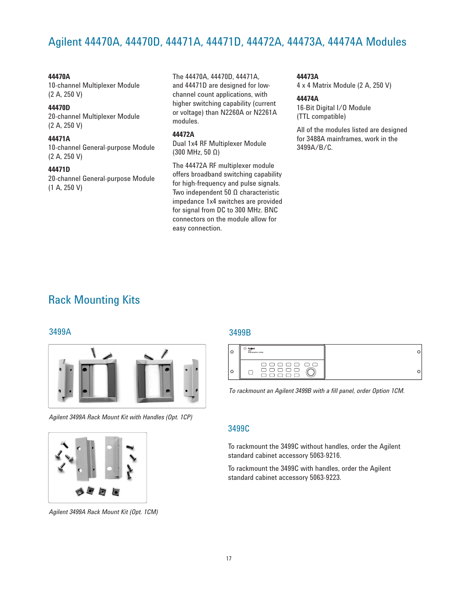# Agilent 44470A, 44470D, 44471A, 44471D, 44472A, 44473A, 44474A Modules

#### **44470A**

10-channel Multiplexer Module (2 A, 250 V)

### **44470D**

20-channel Multiplexer Module (2 A, 250 V)

#### **44471A**

10-channel General-purpose Module (2 A, 250 V)

#### **44471D**

20-channel General-purpose Module (1 A, 250 V)

The 44470A, 44470D, 44471A, and 44471D are designed for lowchannel count applications, with higher switching capability (current or voltage) than N2260A or N2261A modules.

### **44472A**

Dual 1x4 RF Multiplexer Module (300 MHz, 50 Ω)

The 44472A RF multiplexer module offers broadband switching capability for high-frequency and pulse signals. Two independent 50 Ω characteristic impedance 1x4 switches are provided for signal from DC to 300 MHz. BNC connectors on the module allow for easy connection.

**44473A**

4 x 4 Matrix Module (2 A, 250 V)

#### **44474A**

16-Bit Digital I/O Module (TTL compatible)

All of the modules listed are designed for 3488A mainframes, work in the 3499A/B/C.

# Rack Mounting Kits



*Agilent 3499A Rack Mount Kit with Handles (Opt. 1CP)*



*Agilent 3499A Rack Mount Kit (Opt. 1CM)*

# 3499A 3499B

| 34005<br>SW <b>I</b> TCH/CEMTROL SYSTEM                                                              |  |
|------------------------------------------------------------------------------------------------------|--|
| ------<br>$\begin{array}{c} \square \; \square \; \square \; \square \; \square \; \bot \end{array}$ |  |

To rackmount an Agilent 3499B with a fill panel, order Option 1CM.

### 3499C

To rackmount the 3499C without handles, order the Agilent standard cabinet accessory 5063-9216.

To rackmount the 3499C with handles, order the Agilent standard cabinet accessory 5063-9223.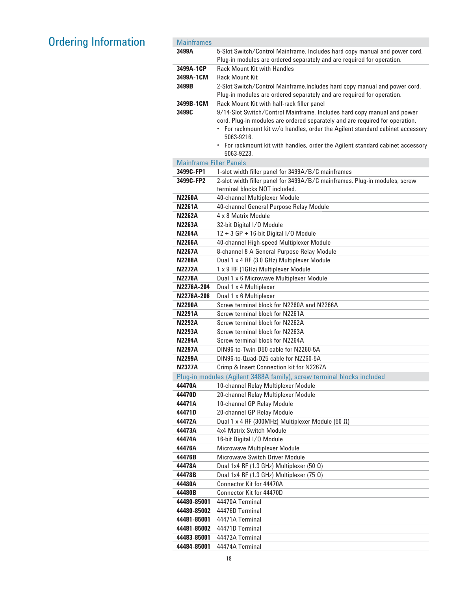# **Ordering Information**

| <b>Mainframes</b>              |                                                                                                                                                     |
|--------------------------------|-----------------------------------------------------------------------------------------------------------------------------------------------------|
| 3499A                          | 5-Slot Switch/Control Mainframe. Includes hard copy manual and power cord.                                                                          |
|                                | Plug-in modules are ordered separately and are required for operation.                                                                              |
| 3499A-1CP                      | <b>Rack Mount Kit with Handles</b>                                                                                                                  |
| 3499A-1CM                      | <b>Rack Mount Kit</b>                                                                                                                               |
| 3499B                          | 2-Slot Switch/Control Mainframe.Includes hard copy manual and power cord.<br>Plug-in modules are ordered separately and are required for operation. |
| 3499B-1CM                      | Rack Mount Kit with half-rack filler panel                                                                                                          |
| 3499C                          | 9/14-Slot Switch/Control Mainframe. Includes hard copy manual and power                                                                             |
|                                | cord. Plug-in modules are ordered separately and are required for operation.                                                                        |
|                                | For rackmount kit w/o handles, order the Agilent standard cabinet accessory                                                                         |
|                                | 5063-9216.<br>• For rackmount kit with handles, order the Agilent standard cabinet accessory                                                        |
|                                | 5063-9223.                                                                                                                                          |
| <b>Mainframe Filler Panels</b> |                                                                                                                                                     |
| 3499C-FP1                      | 1-slot width filler panel for 3499A/B/C mainframes                                                                                                  |
| 3499C-FP2                      | 2-slot width filler panel for 3499A/B/C mainframes. Plug-in modules, screw                                                                          |
|                                | terminal blocks NOT included.                                                                                                                       |
| <b>N2260A</b>                  | 40-channel Multiplexer Module                                                                                                                       |
| <b>N2261A</b>                  | 40-channel General Purpose Relay Module                                                                                                             |
| <b>N2262A</b>                  | 4 x 8 Matrix Module                                                                                                                                 |
| <b>N2263A</b>                  | 32-bit Digital I/O Module                                                                                                                           |
| <b>N2264A</b>                  | 12 + 3 GP + 16-bit Digital I/O Module                                                                                                               |
| <b>N2266A</b>                  | 40-channel High-speed Multiplexer Module                                                                                                            |
| <b>N2267A</b>                  | 8-channel 8 A General Purpose Relay Module                                                                                                          |
| <b>N2268A</b>                  | Dual 1 x 4 RF (3.0 GHz) Multiplexer Module                                                                                                          |
| <b>N2272A</b>                  | 1 x 9 RF (1GHz) Multiplexer Module                                                                                                                  |
| <b>N2276A</b>                  | Dual 1 x 6 Microwave Multiplexer Module                                                                                                             |
| N2276A-204                     | Dual 1 x 4 Multiplexer                                                                                                                              |
| N2276A-206                     | Dual 1 x 6 Multiplexer<br>Screw terminal block for N2260A and N2266A                                                                                |
| <b>N2290A</b><br><b>N2291A</b> | Screw terminal block for N2261A                                                                                                                     |
| <b>N2292A</b>                  | Screw terminal block for N2262A                                                                                                                     |
| <b>N2293A</b>                  | Screw terminal block for N2263A                                                                                                                     |
| <b>N2294A</b>                  | Screw terminal block for N2264A                                                                                                                     |
| <b>N2297A</b>                  | DIN96-to-Twin-D50 cable for N2260-5A                                                                                                                |
| N2299A                         | DIN96-to-Quad-D25 cable for N2260-5A                                                                                                                |
| <b>N2327A</b>                  | Crimp & Insert Connection kit for N2267A                                                                                                            |
|                                | Plug-in modules (Agilent 3488A family), screw terminal blocks included                                                                              |
| 44470A                         | 10-channel Relay Multiplexer Module                                                                                                                 |
| 44470D                         | 20-channel Relay Multiplexer Module                                                                                                                 |
| 44471A                         | 10-channel GP Relay Module                                                                                                                          |
| 44471D                         | 20-channel GP Relay Module                                                                                                                          |
| 44472A                         | Dual 1 x 4 RF (300MHz) Multiplexer Module (50 $\Omega$ )                                                                                            |
| 44473A                         | 4x4 Matrix Switch Module                                                                                                                            |
| 44474A                         | 16-bit Digital I/O Module                                                                                                                           |
| 44476A                         | Microwave Multiplexer Module                                                                                                                        |
| 44476B                         | Microwave Switch Driver Module                                                                                                                      |
| 44478A                         | Dual 1x4 RF (1.3 GHz) Multiplexer (50 $\Omega$ )                                                                                                    |
| 44478B                         | Dual 1x4 RF (1.3 GHz) Multiplexer (75 $\Omega$ )                                                                                                    |
| 44480A<br>44480B               | Connector Kit for 44470A<br>Connector Kit for 44470D                                                                                                |
| 44480-85001                    | 44470A Terminal                                                                                                                                     |
| 44480-85002                    | 44476D Terminal                                                                                                                                     |
| 44481-85001                    | 44471A Terminal                                                                                                                                     |
| 44481-85002                    | 44471D Terminal                                                                                                                                     |
| 44483-85001                    | 44473A Terminal                                                                                                                                     |
| 44484-85001                    | 44474A Terminal                                                                                                                                     |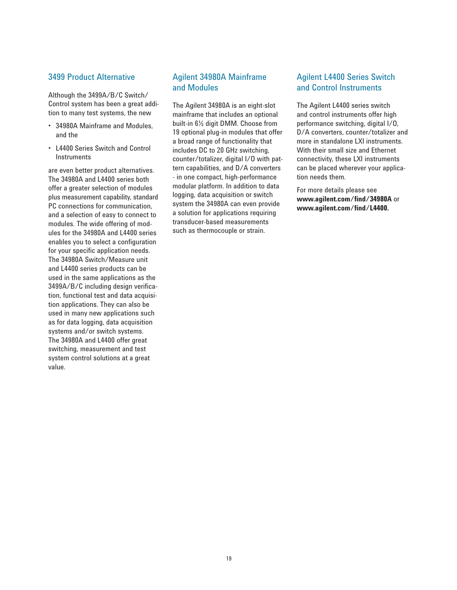### 3499 Product Alternative

Although the 3499A/B/C Switch/ Control system has been a great addition to many test systems, the new

- 34980A Mainframe and Modules, and the
- L4400 Series Switch and Control **Instruments**

are even better product alternatives. The 34980A and L4400 series both offer a greater selection of modules plus measurement capability, standard PC connections for communication, and a selection of easy to connect to modules. The wide offering of modules for the 34980A and L4400 series enables you to select a configuration for your specific application needs. The 34980A Switch/Measure unit and L4400 series products can be used in the same applications as the 3499A/B/C including design verification, functional test and data acquisition applications. They can also be used in many new applications such as for data logging, data acquisition systems and/or switch systems. The 34980A and L4400 offer great switching, measurement and test system control solutions at a great value.

# Agilent 34980A Mainframe and Modules

The Agilent 34980A is an eight-slot mainframe that includes an optional built-in 6½ digit DMM. Choose from 19 optional plug-in modules that offer a broad range of functionality that includes DC to 20 GHz switching, counter/totalizer, digital I/O with pattern capabilities, and D/A converters - in one compact, high-performance modular platform. In addition to data logging, data acquisition or switch system the 34980A can even provide a solution for applications requiring transducer-based measurements such as thermocouple or strain.

# Agilent L4400 Series Switch and Control Instruments

The Agilent L4400 series switch and control instruments offer high performance switching, digital I/O, D/A converters, counter/totalizer and more in standalone LXI instruments. With their small size and Ethernet connectivity, these LXI instruments can be placed wherever your application needs them.

For more details please see **www.agilent.com/find/34980A** or **www.agilent.com/find/L4400.**